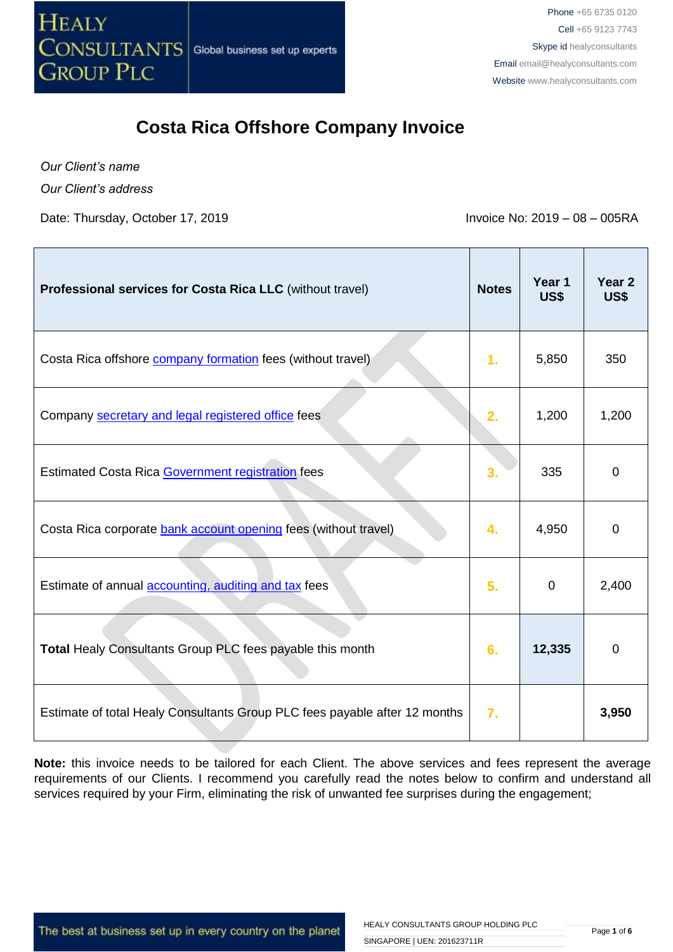

*Our Client's name Our Client's address*

Date: Thursday, October 17, 2019 **Invoice No: 2019 – 08 – 005RA** 

| Professional services for Costa Rica LLC (without travel)                  | <b>Notes</b>     | Year 1<br>US\$ | Year <sub>2</sub><br>US\$ |
|----------------------------------------------------------------------------|------------------|----------------|---------------------------|
| Costa Rica offshore <b>company formation</b> fees (without travel)         | $\mathbf{1}$ .   | 5,850          | 350                       |
| Company secretary and legal registered office fees                         | 2.               | 1,200          | 1,200                     |
| Estimated Costa Rica Government registration fees                          | 3.               | 335            | 0                         |
| Costa Rica corporate bank account opening fees (without travel)            | 4.               | 4,950          | 0                         |
| Estimate of annual <b>accounting</b> , auditing and tax fees               | 5.               | $\mathbf 0$    | 2,400                     |
| Total Healy Consultants Group PLC fees payable this month                  | 6.               | 12,335         | $\mathbf 0$               |
| Estimate of total Healy Consultants Group PLC fees payable after 12 months | $\overline{7}$ . |                | 3,950                     |

**Note:** this invoice needs to be tailored for each Client. The above services and fees represent the average requirements of our Clients. I recommend you carefully read the notes below to confirm and understand all services required by your Firm, eliminating the risk of unwanted fee surprises during the engagement;

The best at business set up in every country on the planet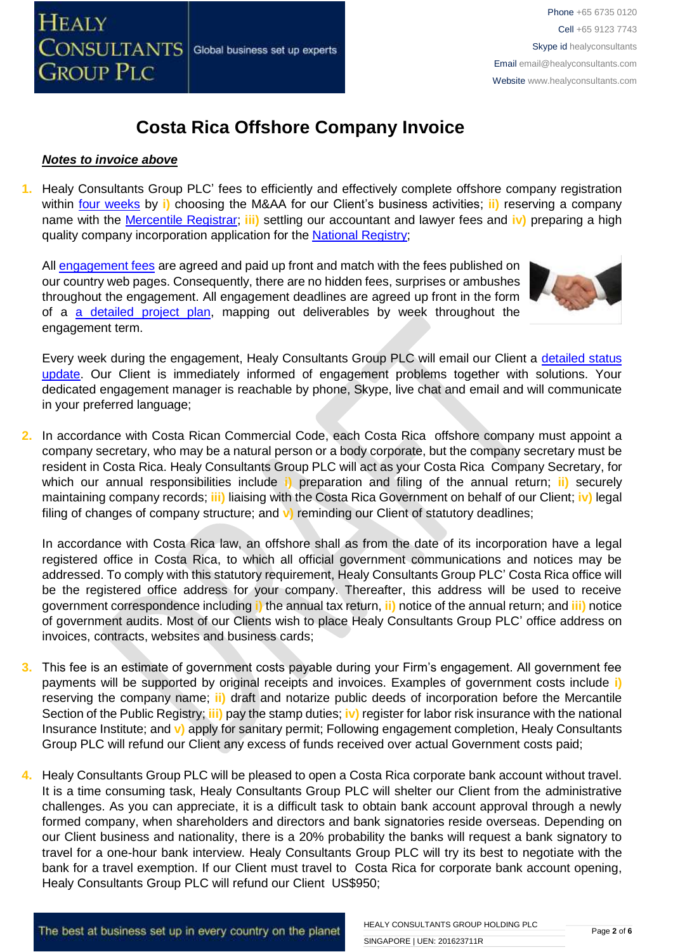

#### *Notes to invoice above*

**1.** Healy Consultants Group PLC' fees to efficiently and effectively complete offshore company registration within [four weeks](http://www.healyconsultants.com/costa-rica-company-registration/fees-timelines/#timelines) by **i)** choosing the M&AA for our Client's business activities; **ii)** reserving a company name with the [Mercentile Registrar;](http://www.crearempresa.go.cr/) **iii)** settling our accountant and lawyer fees and **iv)** preparing a high quality company incorporation application for the [National Registry;](http://www.registronacional.go.cr/)

All [engagement fees](http://www.healyconsultants.com/company-registration-fees/) are agreed and paid up front and match with the fees published on our country web pages. Consequently, there are no hidden fees, surprises or ambushes throughout the engagement. All engagement deadlines are agreed up front in the form of a [a detailed project plan,](http://www.healyconsultants.com/index-important-links/example-project-plan/) mapping out deliverables by week throughout the engagement term.



Every week during the engagement, Healy Consultants Group PLC will email our Client a [detailed status](http://www.healyconsultants.com/index-important-links/weekly-engagement-status-email/)  [update.](http://www.healyconsultants.com/index-important-links/weekly-engagement-status-email/) Our Client is immediately informed of engagement problems together with solutions. Your dedicated engagement manager is reachable by phone, Skype, live chat and email and will communicate in your preferred language;

**2.** In accordance with Costa Rican Commercial Code, each Costa Rica offshore company must appoint a company secretary, who may be a natural person or a body corporate, but the company secretary must be resident in Costa Rica. Healy Consultants Group PLC will act as your Costa Rica Company Secretary, for which our annual responsibilities include **i)** preparation and filing of the annual return; **ii)** securely maintaining company records; **iii)** liaising with the Costa Rica Government on behalf of our Client; **iv)** legal filing of changes of company structure; and **v)** reminding our Client of statutory deadlines;

In accordance with Costa Rica law, an offshore shall as from the date of its incorporation have a legal registered office in Costa Rica, to which all official government communications and notices may be addressed. To comply with this statutory requirement, Healy Consultants Group PLC' Costa Rica office will be the registered office address for your company. Thereafter, this address will be used to receive government correspondence including **i)** the annual tax return, **ii)** notice of the annual return; and **iii)** notice of government audits. Most of our Clients wish to place Healy Consultants Group PLC' office address on invoices, contracts, websites and business cards;

- **3.** This fee is an estimate of government costs payable during your Firm's engagement. All government fee payments will be supported by original receipts and invoices. Examples of government costs include **i)** reserving the company name; **ii)** draft and notarize public deeds of incorporation before the Mercantile Section of the Public Registry; **iii)** pay the stamp duties; **iv)** register for labor risk insurance with the national Insurance Institute; and **v)** apply for sanitary permit; Following engagement completion, Healy Consultants Group PLC will refund our Client any excess of funds received over actual Government costs paid;
- **4.** Healy Consultants Group PLC will be pleased to open a Costa Rica corporate bank account without travel. It is a time consuming task, Healy Consultants Group PLC will shelter our Client from the administrative challenges. As you can appreciate, it is a difficult task to obtain bank account approval through a newly formed company, when shareholders and directors and bank signatories reside overseas. Depending on our Client business and nationality, there is a 20% probability the banks will request a bank signatory to travel for a one-hour bank interview. Healy Consultants Group PLC will try its best to negotiate with the bank for a travel exemption. If our Client must travel to Costa Rica for corporate bank account opening, Healy Consultants Group PLC will refund our Client US\$950;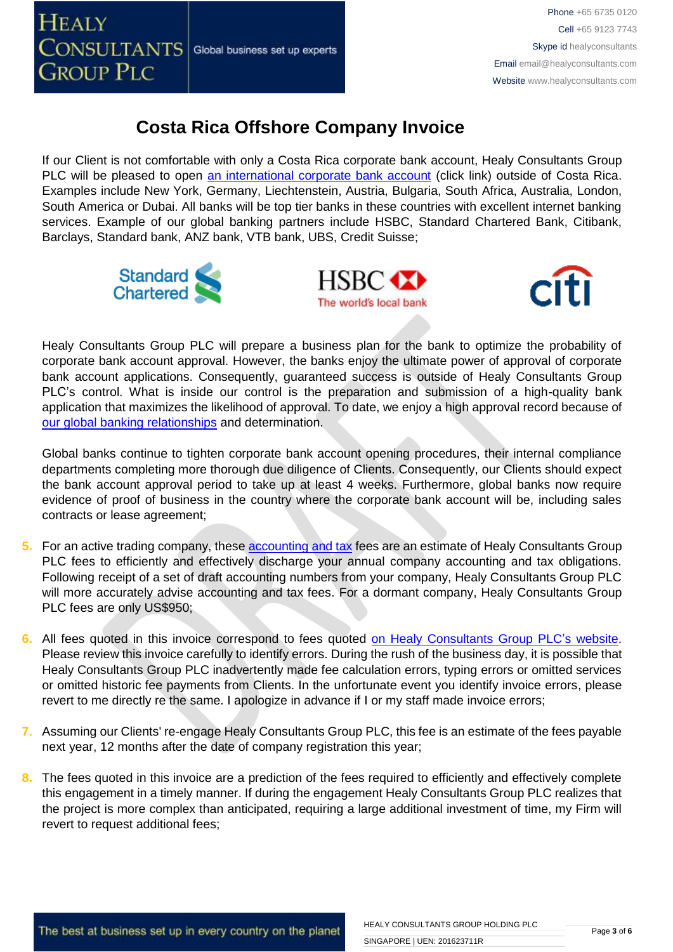

If our Client is not comfortable with only a Costa Rica corporate bank account, Healy Consultants Group PLC will be pleased to open [an international corporate bank account](http://www.healyconsultants.com/international-banking/) (click link) outside of Costa Rica. Examples include New York, Germany, Liechtenstein, Austria, Bulgaria, South Africa, Australia, London, South America or Dubai. All banks will be top tier banks in these countries with excellent internet banking services. Example of our global banking partners include HSBC, Standard Chartered Bank, Citibank, Barclays, Standard bank, ANZ bank, VTB bank, UBS, Credit Suisse;







Healy Consultants Group PLC will prepare a business plan for the bank to optimize the probability of corporate bank account approval. However, the banks enjoy the ultimate power of approval of corporate bank account applications. Consequently, guaranteed success is outside of Healy Consultants Group PLC's control. What is inside our control is the preparation and submission of a high-quality bank application that maximizes the likelihood of approval. To date, we enjoy a high approval record because of [our global banking relationships](http://www.healyconsultants.com/international-banking/corporate-accounts/) and determination.

Global banks continue to tighten corporate bank account opening procedures, their internal compliance departments completing more thorough due diligence of Clients. Consequently, our Clients should expect the bank account approval period to take up at least 4 weeks. Furthermore, global banks now require evidence of proof of business in the country where the corporate bank account will be, including sales contracts or lease agreement;

- **5.** For an active trading company, thes[e accounting and tax](http://www.healyconsultants.com/costa-rica-company-registration/accounting-legal/) fees are an estimate of Healy Consultants Group PLC fees to efficiently and effectively discharge your annual company accounting and tax obligations. Following receipt of a set of draft accounting numbers from your company, Healy Consultants Group PLC will more accurately advise accounting and tax fees. For a dormant company, Healy Consultants Group PLC fees are only US\$950;
- **6.** All fees quoted in this invoice correspond to fees quoted [on Healy Consultants Group PLC's](http://www.healyconsultants.com/company-registration-fees/) website. Please review this invoice carefully to identify errors. During the rush of the business day, it is possible that Healy Consultants Group PLC inadvertently made fee calculation errors, typing errors or omitted services or omitted historic fee payments from Clients. In the unfortunate event you identify invoice errors, please revert to me directly re the same. I apologize in advance if I or my staff made invoice errors;
- **7.** Assuming our Clients' re-engage Healy Consultants Group PLC, this fee is an estimate of the fees payable next year, 12 months after the date of company registration this year;
- **8.** The fees quoted in this invoice are a prediction of the fees required to efficiently and effectively complete this engagement in a timely manner. If during the engagement Healy Consultants Group PLC realizes that the project is more complex than anticipated, requiring a large additional investment of time, my Firm will revert to request additional fees;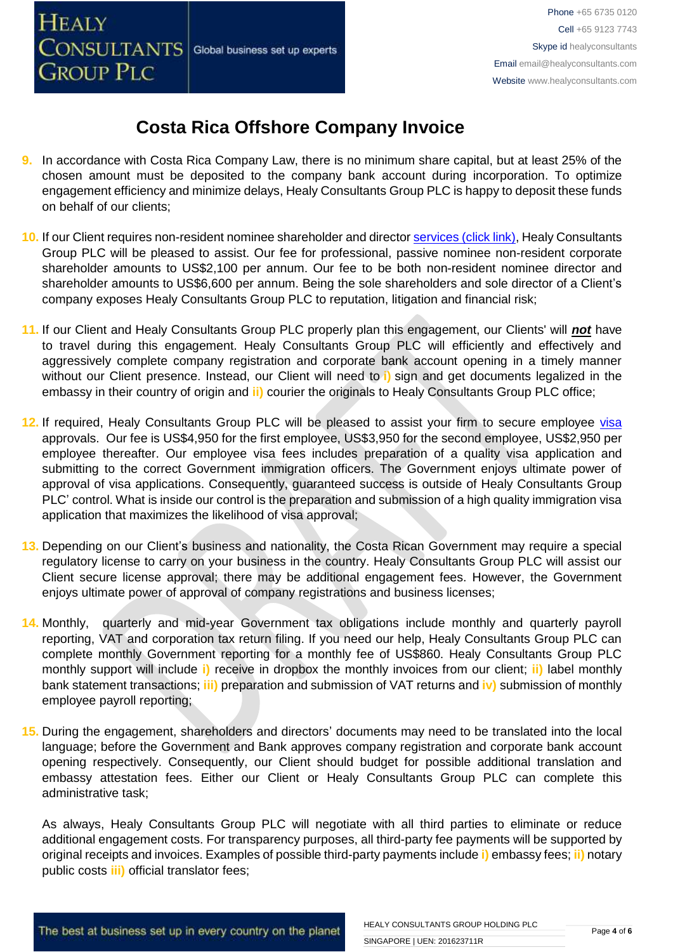**HEALY** 

**GROUP PLC** 

# **Costa Rica Offshore Company Invoice**

- **9.** In accordance with Costa Rica Company Law, there is no minimum share capital, but at least 25% of the chosen amount must be deposited to the company bank account during incorporation. To optimize engagement efficiency and minimize delays, Healy Consultants Group PLC is happy to deposit these funds on behalf of our clients;
- **10.** If our Client requires non-resident nominee shareholder and director services [\(click link\),](http://www.healyconsultants.com/corporate-outsourcing-services/nominee-shareholders-directors/) Healy Consultants Group PLC will be pleased to assist. Our fee for professional, passive nominee non-resident corporate shareholder amounts to US\$2,100 per annum. Our fee to be both non-resident nominee director and shareholder amounts to US\$6,600 per annum. Being the sole shareholders and sole director of a Client's company exposes Healy Consultants Group PLC to reputation, litigation and financial risk;
- **11.** If our Client and Healy Consultants Group PLC properly plan this engagement, our Clients' will *not* have to travel during this engagement. Healy Consultants Group PLC will efficiently and effectively and aggressively complete company registration and corporate bank account opening in a timely manner without our Client presence. Instead, our Client will need to **i)** sign and get documents legalized in the embassy in their country of origin and **ii)** courier the originals to Healy Consultants Group PLC office;
- 12. If required, Healy Consultants Group PLC will be pleased to assist your firm to secure employee [visa](http://www.healyconsultants.com/corporate-advisory-services/migration/) approvals. Our fee is US\$4,950 for the first employee, US\$3,950 for the second employee, US\$2,950 per employee thereafter. Our employee visa fees includes preparation of a quality visa application and submitting to the correct Government immigration officers. The Government enjoys ultimate power of approval of visa applications. Consequently, guaranteed success is outside of Healy Consultants Group PLC' control. What is inside our control is the preparation and submission of a high quality immigration visa application that maximizes the likelihood of visa approval;
- **13.** Depending on our Client's business and nationality, the Costa Rican Government may require a special regulatory license to carry on your business in the country. Healy Consultants Group PLC will assist our Client secure license approval; there may be additional engagement fees. However, the Government enjoys ultimate power of approval of company registrations and business licenses;
- **14.** Monthly, quarterly and mid-year Government tax obligations include monthly and quarterly payroll reporting, VAT and corporation tax return filing. If you need our help, Healy Consultants Group PLC can complete monthly Government reporting for a monthly fee of US\$860. Healy Consultants Group PLC monthly support will include **i)** receive in dropbox the monthly invoices from our client; **ii)** label monthly bank statement transactions; **iii)** preparation and submission of VAT returns and **iv)** submission of monthly employee payroll reporting;
- **15.** During the engagement, shareholders and directors' documents may need to be translated into the local language; before the Government and Bank approves company registration and corporate bank account opening respectively. Consequently, our Client should budget for possible additional translation and embassy attestation fees. Either our Client or Healy Consultants Group PLC can complete this administrative task;

As always, Healy Consultants Group PLC will negotiate with all third parties to eliminate or reduce additional engagement costs. For transparency purposes, all third-party fee payments will be supported by original receipts and invoices. Examples of possible third-party payments include **i)** embassy fees; **ii)** notary public costs **iii)** official translator fees;

The best at business set up in every country on the planet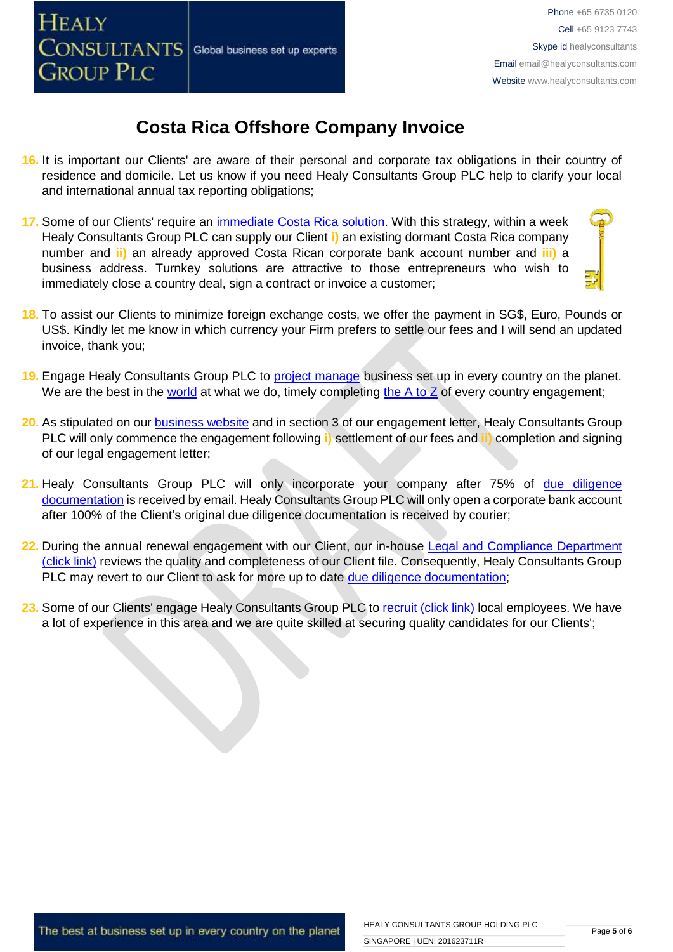

- **16.** It is important our Clients' are aware of their personal and corporate tax obligations in their country of residence and domicile. Let us know if you need Healy Consultants Group PLC help to clarify your local and international annual tax reporting obligations;
- **17.** Some of our Clients' require an [immediate Costa Rica solution.](http://www.healyconsultants.com/turnkey-solutions/) With this strategy, within a week Healy Consultants Group PLC can supply our Client **i)** an existing dormant Costa Rica company number and **ii)** an already approved Costa Rican corporate bank account number and **iii)** a business address. Turnkey solutions are attractive to those entrepreneurs who wish to immediately close a country deal, sign a contract or invoice a customer;
- **18.** To assist our Clients to minimize foreign exchange costs, we offer the payment in SG\$, Euro, Pounds or US\$. Kindly let me know in which currency your Firm prefers to settle our fees and I will send an updated invoice, thank you;
- **19.** Engage Healy Consultants Group PLC to [project manage](http://www.healyconsultants.com/project-manage-engagements/) business set up in every country on the planet. We are the best in the [world](http://www.healyconsultants.com/best-in-the-world/) at what we do, timely completing the  $A$  to  $Z$  of every country engagement;
- **20.** As stipulated on our [business website](http://www.healyconsultants.com/) and in section 3 of our engagement letter, Healy Consultants Group PLC will only commence the engagement following **i)** settlement of our fees and **ii)** completion and signing of our legal engagement letter;
- 21. Healy Consultants Group PLC will only incorporate your company after 75% of due diligence [documentation](http://www.healyconsultants.com/due-diligence/) is received by email. Healy Consultants Group PLC will only open a corporate bank account after 100% of the Client's original due diligence documentation is received by courier;
- 22. During the annual renewal engagement with our Client, our in-house Legal and Compliance Department [\(click link\)](http://www.healyconsultants.com/about-us/key-personnel/cai-xin-profile/) reviews the quality and completeness of our Client file. Consequently, Healy Consultants Group PLC may revert to our Client to ask for more up to date [due diligence documentation;](http://www.healyconsultants.com/due-diligence/)
- 23. Some of our Clients' engage Healy Consultants Group PLC to [recruit \(click link\)](http://www.healyconsultants.com/corporate-outsourcing-services/how-we-help-our-clients-recruit-quality-employees/) local employees. We have a lot of experience in this area and we are quite skilled at securing quality candidates for our Clients';

The best at business set up in every country on the planet